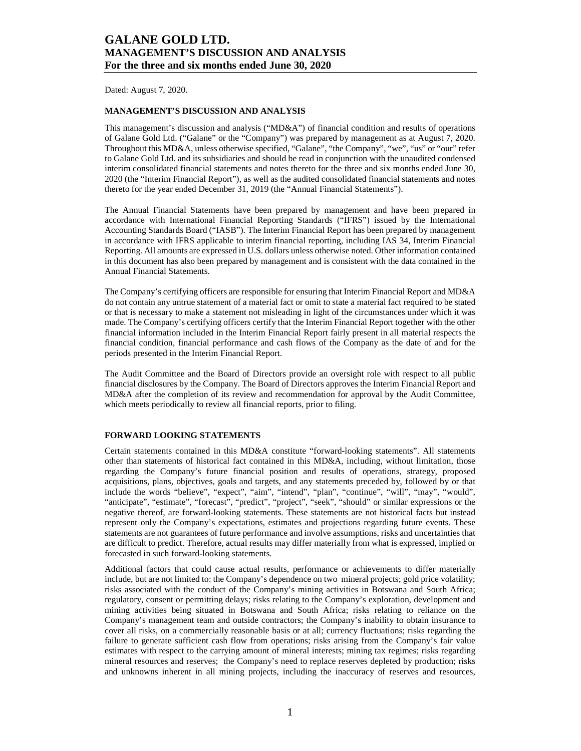Dated: August 7, 2020.

### **MANAGEMENT'S DISCUSSION AND ANALYSIS**

This management's discussion and analysis ("MD&A") of financial condition and results of operations of Galane Gold Ltd. ("Galane" or the "Company") was prepared by management as at August 7, 2020. Throughout this MD&A, unless otherwise specified, "Galane", "the Company", "we", "us" or "our" refer to Galane Gold Ltd. and its subsidiaries and should be read in conjunction with the unaudited condensed interim consolidated financial statements and notes thereto for the three and six months ended June 30, 2020 (the "Interim Financial Report"), as well as the audited consolidated financial statements and notes thereto for the year ended December 31, 2019 (the "Annual Financial Statements").

The Annual Financial Statements have been prepared by management and have been prepared in accordance with International Financial Reporting Standards ("IFRS") issued by the International Accounting Standards Board ("IASB"). The Interim Financial Report has been prepared by management in accordance with IFRS applicable to interim financial reporting, including IAS 34, Interim Financial Reporting. All amounts are expressed in U.S. dollars unless otherwise noted. Other information contained in this document has also been prepared by management and is consistent with the data contained in the Annual Financial Statements.

The Company's certifying officers are responsible for ensuring that Interim Financial Report and MD&A do not contain any untrue statement of a material fact or omit to state a material fact required to be stated or that is necessary to make a statement not misleading in light of the circumstances under which it was made. The Company's certifying officers certify that the Interim Financial Report together with the other financial information included in the Interim Financial Report fairly present in all material respects the financial condition, financial performance and cash flows of the Company as the date of and for the periods presented in the Interim Financial Report.

The Audit Committee and the Board of Directors provide an oversight role with respect to all public financial disclosures by the Company. The Board of Directors approves the Interim Financial Report and MD&A after the completion of its review and recommendation for approval by the Audit Committee, which meets periodically to review all financial reports, prior to filing.

### **FORWARD LOOKING STATEMENTS**

Certain statements contained in this MD&A constitute "forward-looking statements". All statements other than statements of historical fact contained in this MD&A, including, without limitation, those regarding the Company's future financial position and results of operations, strategy, proposed acquisitions, plans, objectives, goals and targets, and any statements preceded by, followed by or that include the words "believe", "expect", "aim", "intend", "plan", "continue", "will", "may", "would", "anticipate", "estimate", "forecast", "predict", "project", "seek", "should" or similar expressions or the negative thereof, are forward-looking statements. These statements are not historical facts but instead represent only the Company's expectations, estimates and projections regarding future events. These statements are not guarantees of future performance and involve assumptions, risks and uncertainties that are difficult to predict. Therefore, actual results may differ materially from what is expressed, implied or forecasted in such forward-looking statements.

Additional factors that could cause actual results, performance or achievements to differ materially include, but are not limited to: the Company's dependence on two mineral projects; gold price volatility; risks associated with the conduct of the Company's mining activities in Botswana and South Africa; regulatory, consent or permitting delays; risks relating to the Company's exploration, development and mining activities being situated in Botswana and South Africa; risks relating to reliance on the Company's management team and outside contractors; the Company's inability to obtain insurance to cover all risks, on a commercially reasonable basis or at all; currency fluctuations; risks regarding the failure to generate sufficient cash flow from operations; risks arising from the Company's fair value estimates with respect to the carrying amount of mineral interests; mining tax regimes; risks regarding mineral resources and reserves; the Company's need to replace reserves depleted by production; risks and unknowns inherent in all mining projects, including the inaccuracy of reserves and resources,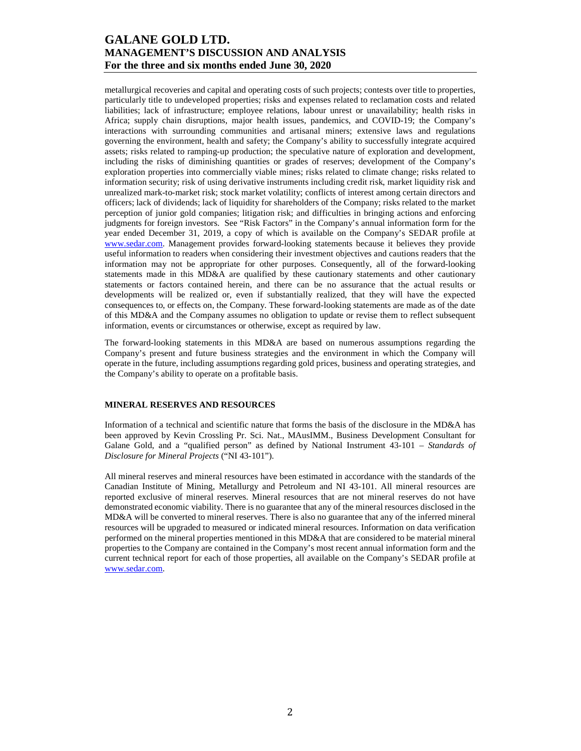metallurgical recoveries and capital and operating costs of such projects; contests over title to properties, particularly title to undeveloped properties; risks and expenses related to reclamation costs and related liabilities; lack of infrastructure; employee relations, labour unrest or unavailability; health risks in Africa; supply chain disruptions, major health issues, pandemics, and COVID-19; the Company's interactions with surrounding communities and artisanal miners; extensive laws and regulations governing the environment, health and safety; the Company's ability to successfully integrate acquired assets; risks related to ramping-up production; the speculative nature of exploration and development, including the risks of diminishing quantities or grades of reserves; development of the Company's exploration properties into commercially viable mines; risks related to climate change; risks related to information security; risk of using derivative instruments including credit risk, market liquidity risk and unrealized mark-to-market risk; stock market volatility; conflicts of interest among certain directors and officers; lack of dividends; lack of liquidity for shareholders of the Company; risks related to the market perception of junior gold companies; litigation risk; and difficulties in bringing actions and enforcing judgments for foreign investors. See "Risk Factors" in the Company's annual information form for the year ended December 31, 2019, a copy of which is available on the Company's SEDAR profile at www.sedar.com. Management provides forward-looking statements because it believes they provide useful information to readers when considering their investment objectives and cautions readers that the information may not be appropriate for other purposes. Consequently, all of the forward-looking statements made in this MD&A are qualified by these cautionary statements and other cautionary statements or factors contained herein, and there can be no assurance that the actual results or developments will be realized or, even if substantially realized, that they will have the expected consequences to, or effects on, the Company. These forward-looking statements are made as of the date of this MD&A and the Company assumes no obligation to update or revise them to reflect subsequent information, events or circumstances or otherwise, except as required by law.

The forward-looking statements in this MD&A are based on numerous assumptions regarding the Company's present and future business strategies and the environment in which the Company will operate in the future, including assumptions regarding gold prices, business and operating strategies, and the Company's ability to operate on a profitable basis.

### **MINERAL RESERVES AND RESOURCES**

Information of a technical and scientific nature that forms the basis of the disclosure in the MD&A has been approved by Kevin Crossling Pr. Sci. Nat., MAusIMM., Business Development Consultant for Galane Gold, and a "qualified person" as defined by National Instrument 43-101 – *Standards of Disclosure for Mineral Projects* ("NI 43-101").

All mineral reserves and mineral resources have been estimated in accordance with the standards of the Canadian Institute of Mining, Metallurgy and Petroleum and NI 43-101. All mineral resources are reported exclusive of mineral reserves. Mineral resources that are not mineral reserves do not have demonstrated economic viability. There is no guarantee that any of the mineral resources disclosed in the MD&A will be converted to mineral reserves. There is also no guarantee that any of the inferred mineral resources will be upgraded to measured or indicated mineral resources. Information on data verification performed on the mineral properties mentioned in this MD&A that are considered to be material mineral properties to the Company are contained in the Company's most recent annual information form and the current technical report for each of those properties, all available on the Company's SEDAR profile at www.sedar.com.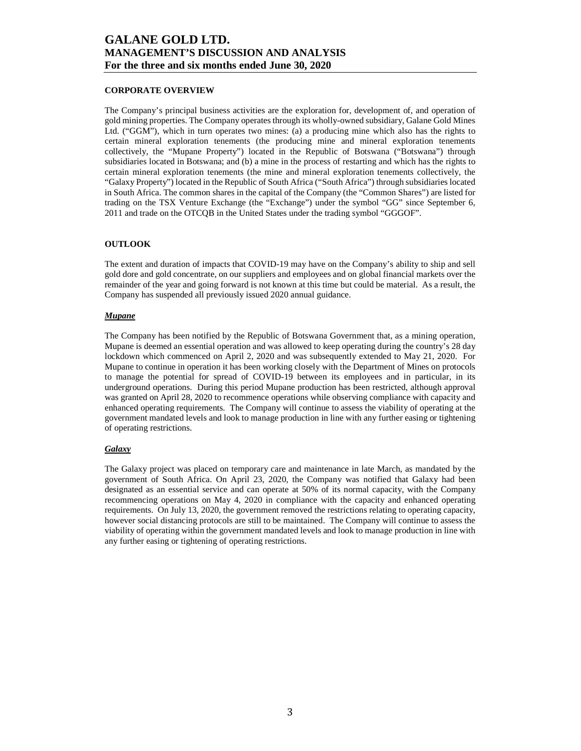### **CORPORATE OVERVIEW**

The Company's principal business activities are the exploration for, development of, and operation of gold mining properties. The Company operates through its wholly-owned subsidiary, Galane Gold Mines Ltd. ("GGM"), which in turn operates two mines: (a) a producing mine which also has the rights to certain mineral exploration tenements (the producing mine and mineral exploration tenements collectively, the "Mupane Property") located in the Republic of Botswana ("Botswana") through subsidiaries located in Botswana; and (b) a mine in the process of restarting and which has the rights to certain mineral exploration tenements (the mine and mineral exploration tenements collectively, the "Galaxy Property") located in the Republic of South Africa ("South Africa") through subsidiaries located in South Africa. The common shares in the capital of the Company (the "Common Shares") are listed for trading on the TSX Venture Exchange (the "Exchange") under the symbol "GG" since September 6, 2011 and trade on the OTCQB in the United States under the trading symbol "GGGOF".

#### **OUTLOOK**

The extent and duration of impacts that COVID-19 may have on the Company's ability to ship and sell gold dore and gold concentrate, on our suppliers and employees and on global financial markets over the remainder of the year and going forward is not known at this time but could be material. As a result, the Company has suspended all previously issued 2020 annual guidance.

#### *Mupane*

The Company has been notified by the Republic of Botswana Government that, as a mining operation, Mupane is deemed an essential operation and was allowed to keep operating during the country's 28 day lockdown which commenced on April 2, 2020 and was subsequently extended to May 21, 2020. For Mupane to continue in operation it has been working closely with the Department of Mines on protocols to manage the potential for spread of COVID-19 between its employees and in particular, in its underground operations. During this period Mupane production has been restricted, although approval was granted on April 28, 2020 to recommence operations while observing compliance with capacity and enhanced operating requirements. The Company will continue to assess the viability of operating at the government mandated levels and look to manage production in line with any further easing or tightening of operating restrictions.

### *Galaxy*

The Galaxy project was placed on temporary care and maintenance in late March, as mandated by the government of South Africa. On April 23, 2020, the Company was notified that Galaxy had been designated as an essential service and can operate at 50% of its normal capacity, with the Company recommencing operations on May 4, 2020 in compliance with the capacity and enhanced operating requirements. On July 13, 2020, the government removed the restrictions relating to operating capacity, however social distancing protocols are still to be maintained. The Company will continue to assess the viability of operating within the government mandated levels and look to manage production in line with any further easing or tightening of operating restrictions.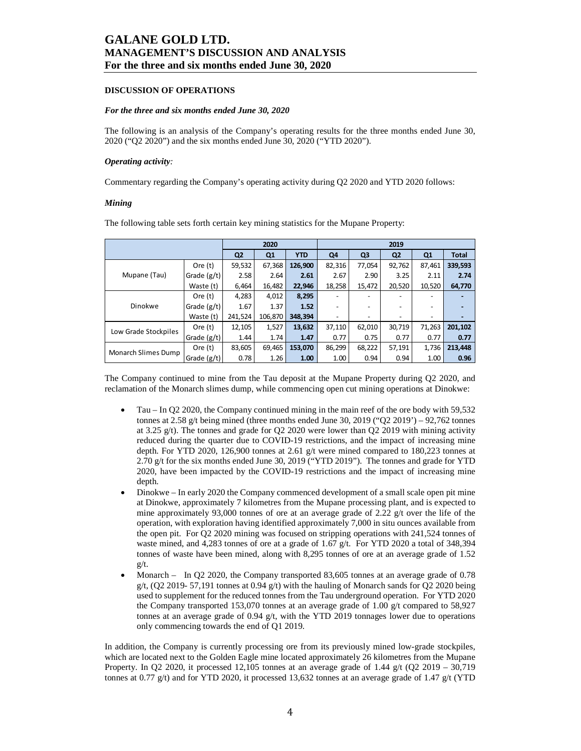#### **DISCUSSION OF OPERATIONS**

#### *For the three and six months ended June 30, 2020*

The following is an analysis of the Company's operating results for the three months ended June 30, 2020 ("Q2 2020") and the six months ended June 30, 2020 ("YTD 2020").

#### *Operating activity:*

Commentary regarding the Company's operating activity during Q2 2020 and YTD 2020 follows:

#### *Mining*

|                      |               |                | 2020    |            | 2019   |                |                |                |              |  |
|----------------------|---------------|----------------|---------|------------|--------|----------------|----------------|----------------|--------------|--|
|                      |               | Q <sub>2</sub> | Q1      | <b>YTD</b> | Q4     | Q <sub>3</sub> | Q <sub>2</sub> | Q <sub>1</sub> | <b>Total</b> |  |
|                      | Ore $(t)$     | 59,532         | 67,368  | 126,900    | 82,316 | 77,054         | 92,762         | 87,461         | 339,593      |  |
| Mupane (Tau)         | Grade $(g/t)$ | 2.58           | 2.64    | 2.61       | 2.67   | 2.90           | 3.25           | 2.11           | 2.74         |  |
|                      | Waste (t)     | 6,464          | 16,482  | 22,946     | 18,258 | 15,472         | 20,520         | 10,520         | 64,770       |  |
|                      | Ore $(t)$     | 4.283          | 4,012   | 8,295      |        |                |                | -              |              |  |
| Dinokwe              | Grade $(g/t)$ | 1.67           | 1.37    | 1.52       | -      |                |                |                |              |  |
|                      | Waste (t)     | 241,524        | 106.870 | 348.394    |        | -              |                | -              |              |  |
| Low Grade Stockpiles | Ore $(t)$     | 12,105         | 1,527   | 13,632     | 37,110 | 62,010         | 30,719         | 71,263         | 201,102      |  |
|                      | Grade $(g/t)$ | 1.44           | 1.74    | 1.47       | 0.77   | 0.75           | 0.77           | 0.77           | 0.77         |  |
| Monarch Slimes Dump  | Ore $(t)$     | 83,605         | 69,465  | 153,070    | 86,299 | 68,222         | 57,191         | 1,736          | 213.448      |  |
|                      | Grade $(g/t)$ | 0.78           | 1.26    | 1.00       | 1.00   | 0.94           | 0.94           | 1.00           | 0.96         |  |

The following table sets forth certain key mining statistics for the Mupane Property:

The Company continued to mine from the Tau deposit at the Mupane Property during Q2 2020, and reclamation of the Monarch slimes dump, while commencing open cut mining operations at Dinokwe:

- Tau In Q2 2020, the Company continued mining in the main reef of the ore body with 59,532 tonnes at 2.58 g/t being mined (three months ended June 30, 2019 (" $Q2 2019$ ") – 92,762 tonnes at 3.25  $g(t)$ . The tonnes and grade for Q2 2020 were lower than Q2 2019 with mining activity reduced during the quarter due to COVID-19 restrictions, and the impact of increasing mine depth. For YTD 2020, 126,900 tonnes at 2.61 g/t were mined compared to 180,223 tonnes at 2.70 g/t for the six months ended June 30, 2019 ("YTD 2019"). The tonnes and grade for YTD 2020, have been impacted by the COVID-19 restrictions and the impact of increasing mine depth.
- Dinokwe In early 2020 the Company commenced development of a small scale open pit mine at Dinokwe, approximately 7 kilometres from the Mupane processing plant, and is expected to mine approximately 93,000 tonnes of ore at an average grade of 2.22  $g/t$  over the life of the operation, with exploration having identified approximately 7,000 in situ ounces available from the open pit. For Q2 2020 mining was focused on stripping operations with 241,524 tonnes of waste mined, and 4,283 tonnes of ore at a grade of 1.67 g/t. For YTD 2020 a total of 348,394 tonnes of waste have been mined, along with 8,295 tonnes of ore at an average grade of 1.52 g/t.
- Monarch In Q2 2020, the Company transported 83,605 tonnes at an average grade of 0.78  $g/t$ , (Q2 2019- 57,191 tonnes at 0.94  $g/t$ ) with the hauling of Monarch sands for Q2 2020 being used to supplement for the reduced tonnes from the Tau underground operation. For YTD 2020 the Company transported 153,070 tonnes at an average grade of 1.00 g/t compared to 58,927 tonnes at an average grade of  $0.94$  g/t, with the YTD 2019 tonnages lower due to operations only commencing towards the end of Q1 2019.

In addition, the Company is currently processing ore from its previously mined low-grade stockpiles, which are located next to the Golden Eagle mine located approximately 26 kilometres from the Mupane Property. In Q2 2020, it processed 12,105 tonnes at an average grade of 1.44  $g/t$  (Q2 2019 – 30,719 tonnes at 0.77 g/t) and for YTD 2020, it processed 13,632 tonnes at an average grade of 1.47 g/t (YTD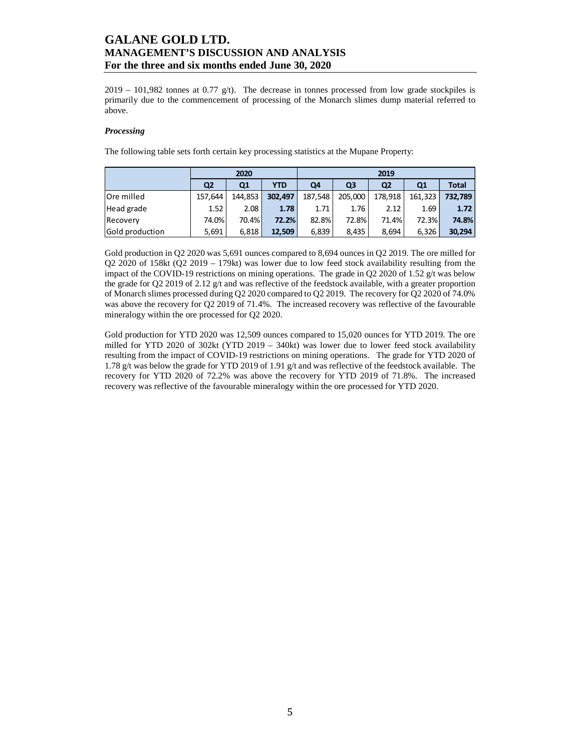$2019 - 101,982$  tonnes at 0.77 g/t). The decrease in tonnes processed from low grade stockpiles is primarily due to the commencement of processing of the Monarch slimes dump material referred to above.

### *Processing*

The following table sets forth certain key processing statistics at the Mupane Property:

|                   |                | 2020           |            | 2019    |                |                |              |              |  |  |
|-------------------|----------------|----------------|------------|---------|----------------|----------------|--------------|--------------|--|--|
|                   | Q <sub>2</sub> | Q <sub>1</sub> | <b>YTD</b> | Q4      | Q <sub>3</sub> | Q <sub>2</sub> | Q1           | <b>Total</b> |  |  |
| <b>Ore milled</b> | 157.644        | 144.853        | 302.497    | 187,548 | 205,000        | 178,918        | 161.323      | 732.789      |  |  |
| Head grade        | 1.52           | 2.08           | 1.78       | 1.71    | 1.76           | 2.12           | 1.69         | 1.72         |  |  |
| Recovery          | 74.0%          | 70.4%          | 72.2%      | 82.8%   | 72.8%          | 71.4%          | <b>72.3%</b> | 74.8%        |  |  |
| Gold production   | 5,691          | 6.818          | 12.509     | 6,839   | 8.435          | 8.694          | 6.326        | 30.294       |  |  |

Gold production in Q2 2020 was 5,691 ounces compared to 8,694 ounces in Q2 2019. The ore milled for Q2 2020 of 158kt (Q2 2019 – 179kt) was lower due to low feed stock availability resulting from the impact of the COVID-19 restrictions on mining operations. The grade in Q2 2020 of 1.52 g/t was below the grade for Q2 2019 of 2.12 g/t and was reflective of the feedstock available, with a greater proportion of Monarch slimes processed during Q2 2020 compared to Q2 2019. The recovery for Q2 2020 of 74.0% was above the recovery for Q2 2019 of 71.4%. The increased recovery was reflective of the favourable mineralogy within the ore processed for Q2 2020.

Gold production for YTD 2020 was 12,509 ounces compared to 15,020 ounces for YTD 2019. The ore milled for YTD 2020 of 302kt (YTD 2019 – 340kt) was lower due to lower feed stock availability resulting from the impact of COVID-19 restrictions on mining operations. The grade for YTD 2020 of 1.78 g/t was below the grade for YTD 2019 of 1.91 g/t and was reflective of the feedstock available. The recovery for YTD 2020 of 72.2% was above the recovery for YTD 2019 of 71.8%. The increased recovery was reflective of the favourable mineralogy within the ore processed for YTD 2020.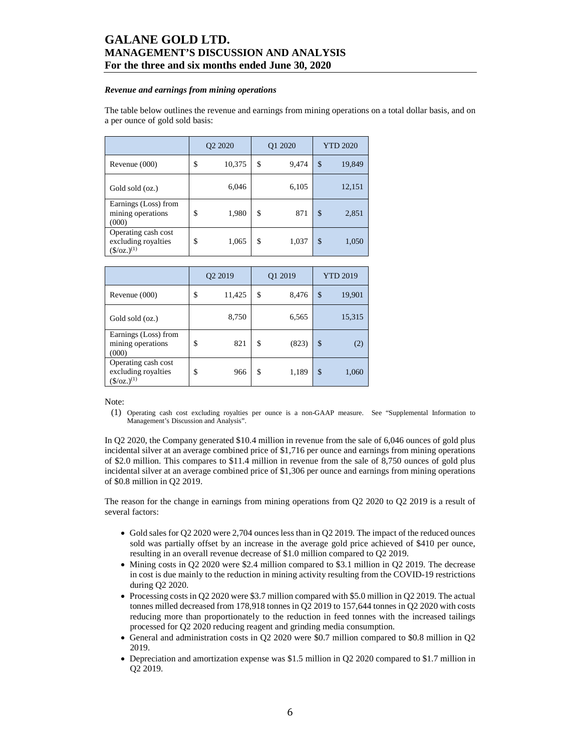#### *Revenue and earnings from mining operations*

The table below outlines the revenue and earnings from mining operations on a total dollar basis, and on a per ounce of gold sold basis:

|                                                                     | Q <sub>2</sub> 20 <sub>20</sub> |        | O1 2020     | <b>YTD 2020</b> |        |  |
|---------------------------------------------------------------------|---------------------------------|--------|-------------|-----------------|--------|--|
| Revenue (000)                                                       | \$                              | 10,375 | \$<br>9,474 | \$              | 19,849 |  |
| Gold sold (oz.)                                                     |                                 | 6,046  | 6,105       |                 | 12,151 |  |
| Earnings (Loss) from<br>mining operations<br>(000)                  | \$                              | 1,980  | \$<br>871   | \$              | 2,851  |  |
| Operating cash cost<br>excluding royalties<br>$(\frac{\csc(1)}{2})$ | \$                              | 1,065  | \$<br>1,037 | \$              | 1,050  |  |

|                                                                     | Q2 2019 |        | O1 2019     | <b>YTD 2019</b> |        |  |
|---------------------------------------------------------------------|---------|--------|-------------|-----------------|--------|--|
| Revenue (000)                                                       | \$      | 11,425 | \$<br>8,476 | \$              | 19,901 |  |
| Gold sold (oz.)                                                     |         | 8,750  | 6,565       |                 | 15,315 |  |
| Earnings (Loss) from<br>mining operations<br>(000)                  | \$      | 821    | \$<br>(823) | \$              | (2)    |  |
| Operating cash cost<br>excluding royalties<br>$(\frac{\csc(1)}{2})$ | \$      | 966    | \$<br>1,189 | \$              | 1,060  |  |

Note:

(1) Operating cash cost excluding royalties per ounce is a non-GAAP measure. See "Supplemental Information to Management's Discussion and Analysis".

In Q2 2020, the Company generated \$10.4 million in revenue from the sale of 6,046 ounces of gold plus incidental silver at an average combined price of \$1,716 per ounce and earnings from mining operations of \$2.0 million. This compares to \$11.4 million in revenue from the sale of 8,750 ounces of gold plus incidental silver at an average combined price of \$1,306 per ounce and earnings from mining operations of \$0.8 million in Q2 2019.

The reason for the change in earnings from mining operations from Q2 2020 to Q2 2019 is a result of several factors:

- Gold sales for Q2 2020 were 2,704 ounces less than in Q2 2019. The impact of the reduced ounces sold was partially offset by an increase in the average gold price achieved of \$410 per ounce, resulting in an overall revenue decrease of \$1.0 million compared to Q2 2019.
- Mining costs in Q2 2020 were \$2.4 million compared to \$3.1 million in Q2 2019. The decrease in cost is due mainly to the reduction in mining activity resulting from the COVID-19 restrictions during Q2 2020.
- Processing costs in Q2 2020 were \$3.7 million compared with \$5.0 million in Q2 2019. The actual tonnes milled decreased from 178,918 tonnes in Q2 2019 to 157,644 tonnes in Q2 2020 with costs reducing more than proportionately to the reduction in feed tonnes with the increased tailings processed for Q2 2020 reducing reagent and grinding media consumption.
- General and administration costs in Q2 2020 were \$0.7 million compared to \$0.8 million in Q2 2019.
- Depreciation and amortization expense was \$1.5 million in Q2 2020 compared to \$1.7 million in Q2 2019.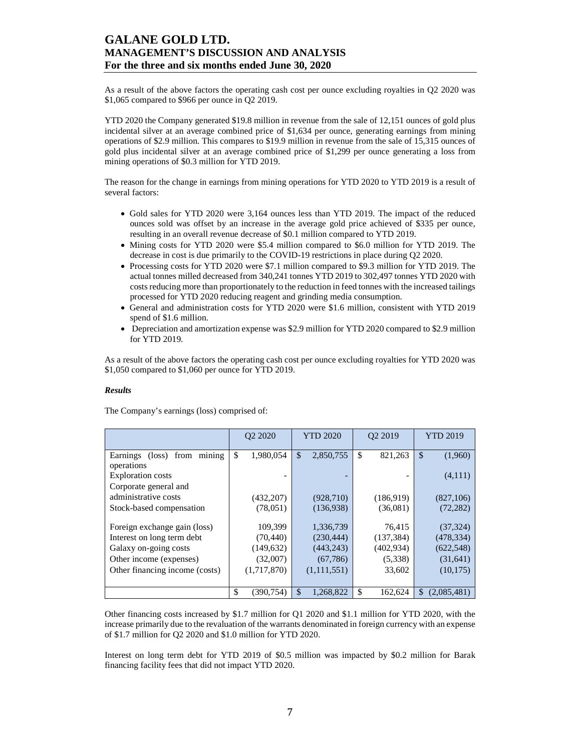As a result of the above factors the operating cash cost per ounce excluding royalties in Q2 2020 was \$1,065 compared to \$966 per ounce in Q2 2019.

YTD 2020 the Company generated \$19.8 million in revenue from the sale of 12,151 ounces of gold plus incidental silver at an average combined price of \$1,634 per ounce, generating earnings from mining operations of \$2.9 million. This compares to \$19.9 million in revenue from the sale of 15,315 ounces of gold plus incidental silver at an average combined price of \$1,299 per ounce generating a loss from mining operations of \$0.3 million for YTD 2019.

The reason for the change in earnings from mining operations for YTD 2020 to YTD 2019 is a result of several factors:

- Gold sales for YTD 2020 were 3,164 ounces less than YTD 2019. The impact of the reduced ounces sold was offset by an increase in the average gold price achieved of \$335 per ounce, resulting in an overall revenue decrease of \$0.1 million compared to YTD 2019.
- Mining costs for YTD 2020 were \$5.4 million compared to \$6.0 million for YTD 2019. The decrease in cost is due primarily to the COVID-19 restrictions in place during Q2 2020.
- Processing costs for YTD 2020 were \$7.1 million compared to \$9.3 million for YTD 2019. The actual tonnes milled decreased from 340,241 tonnes YTD 2019 to 302,497 tonnes YTD 2020 with costs reducing more than proportionately to the reduction in feed tonnes with the increased tailings processed for YTD 2020 reducing reagent and grinding media consumption.
- General and administration costs for YTD 2020 were \$1.6 million, consistent with YTD 2019 spend of \$1.6 million.
- Depreciation and amortization expense was \$2.9 million for YTD 2020 compared to \$2.9 million for YTD 2019.

As a result of the above factors the operating cash cost per ounce excluding royalties for YTD 2020 was \$1,050 compared to \$1,060 per ounce for YTD 2019.

### *Results*

The Company's earnings (loss) comprised of:

|                                   | O <sub>2</sub> 20 <sub>20</sub> | <b>YTD 2020</b>            | O <sub>2</sub> 2019 | <b>YTD 2019</b>   |
|-----------------------------------|---------------------------------|----------------------------|---------------------|-------------------|
| mining<br>Earnings<br>(loss) from | \$<br>1.980.054                 | 2,850,755<br>$\mathcal{S}$ | \$<br>821,263       | \$<br>(1,960)     |
| operations                        |                                 |                            |                     |                   |
| <b>Exploration costs</b>          |                                 |                            |                     | (4,111)           |
| Corporate general and             |                                 |                            |                     |                   |
| administrative costs              | (432, 207)                      | (928, 710)                 | (186,919)           | (827,106)         |
| Stock-based compensation          | (78, 051)                       | (136,938)                  | (36,081)            | (72, 282)         |
|                                   |                                 |                            |                     |                   |
| Foreign exchange gain (loss)      | 109.399                         | 1,336,739                  | 76.415              | (37, 324)         |
| Interest on long term debt        | (70, 440)                       | (230, 444)                 | (137, 384)          | (478, 334)        |
| Galaxy on-going costs             | (149, 632)                      | (443, 243)                 | (402, 934)          | (622, 548)        |
| Other income (expenses)           | (32,007)                        | (67, 786)                  | (5,338)             | (31, 641)         |
| Other financing income (costs)    | (1,717,870)                     | (1,111,551)                | 33,602              | (10, 175)         |
|                                   |                                 |                            |                     |                   |
|                                   | \$<br>(390.754)                 | \$<br>1.268.822            | \$<br>162,624       | \$<br>(2,085,481) |

Other financing costs increased by \$1.7 million for Q1 2020 and \$1.1 million for YTD 2020, with the increase primarily due to the revaluation of the warrants denominated in foreign currency with an expense of \$1.7 million for Q2 2020 and \$1.0 million for YTD 2020.

Interest on long term debt for YTD 2019 of \$0.5 million was impacted by \$0.2 million for Barak financing facility fees that did not impact YTD 2020.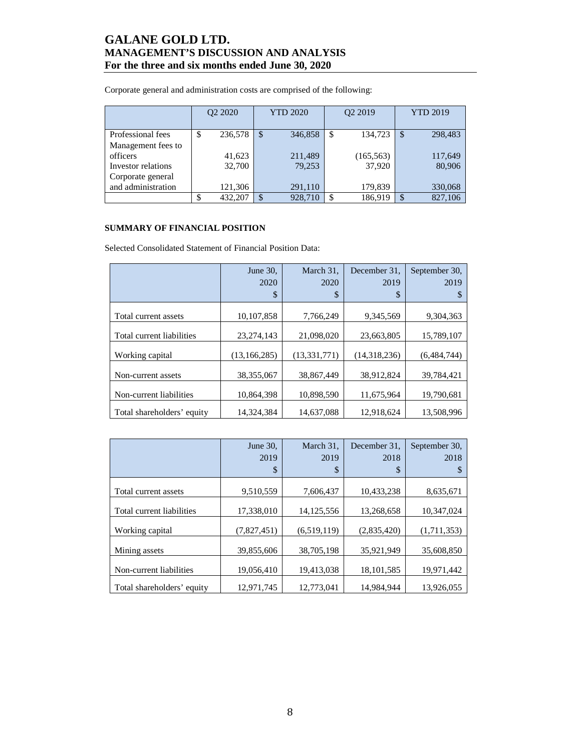Corporate general and administration costs are comprised of the following:

|                    | O <sub>2</sub> 2020 |         | <b>YTD 2020</b> |         |     | O <sub>2</sub> 2019 | <b>YTD 2019</b> |         |  |
|--------------------|---------------------|---------|-----------------|---------|-----|---------------------|-----------------|---------|--|
| Professional fees  | S                   | 236,578 | $\mathcal{S}$   | 346,858 | S,  | 134,723             | \$              | 298,483 |  |
| Management fees to |                     |         |                 |         |     |                     |                 |         |  |
| officers           |                     | 41,623  |                 | 211,489 |     | (165, 563)          |                 | 117,649 |  |
| Investor relations |                     | 32,700  |                 | 79,253  |     | 37,920              |                 | 80,906  |  |
| Corporate general  |                     |         |                 |         |     |                     |                 |         |  |
| and administration |                     | 121,306 |                 | 291,110 |     | 179,839             |                 | 330,068 |  |
|                    |                     | 432,207 | \$              | 928,710 | -\$ | 186,919             |                 | 827,106 |  |

### **SUMMARY OF FINANCIAL POSITION**

Selected Consolidated Statement of Financial Position Data:

|                            | June $30$ ,    | March 31.      | December 31. | September 30. |
|----------------------------|----------------|----------------|--------------|---------------|
|                            | 2020           | 2020           | 2019         | 2019          |
|                            | \$             | \$             | \$           |               |
|                            |                |                |              |               |
| Total current assets       | 10,107,858     | 7,766,249      | 9,345,569    | 9,304,363     |
| Total current liabilities  | 23, 274, 143   | 21,098,020     | 23,663,805   | 15,789,107    |
| Working capital            | (13, 166, 285) | (13, 331, 771) | (14,318,236) | (6,484,744)   |
| Non-current assets         | 38.355.067     | 38,867,449     | 38.912.824   | 39.784.421    |
| Non-current liabilities    | 10,864,398     | 10,898,590     | 11,675,964   | 19,790,681    |
| Total shareholders' equity | 14.324.384     | 14.637.088     | 12,918,624   | 13.508.996    |

|                            | June 30.    | March 31,    | December 31. | September 30, |
|----------------------------|-------------|--------------|--------------|---------------|
|                            | 2019        | 2019         | 2018         | 2018          |
|                            | \$          | \$           | \$           |               |
| Total current assets       | 9,510,559   | 7.606.437    | 10,433,238   | 8,635,671     |
| Total current liabilities  | 17,338,010  | 14, 125, 556 | 13,268,658   | 10,347,024    |
| Working capital            | (7,827,451) | (6,519,119)  | (2,835,420)  | (1,711,353)   |
| Mining assets              | 39,855,606  | 38,705,198   | 35,921,949   | 35,608,850    |
| Non-current liabilities    | 19,056,410  | 19,413,038   | 18, 101, 585 | 19,971,442    |
| Total shareholders' equity | 12.971.745  | 12,773,041   | 14.984.944   | 13.926.055    |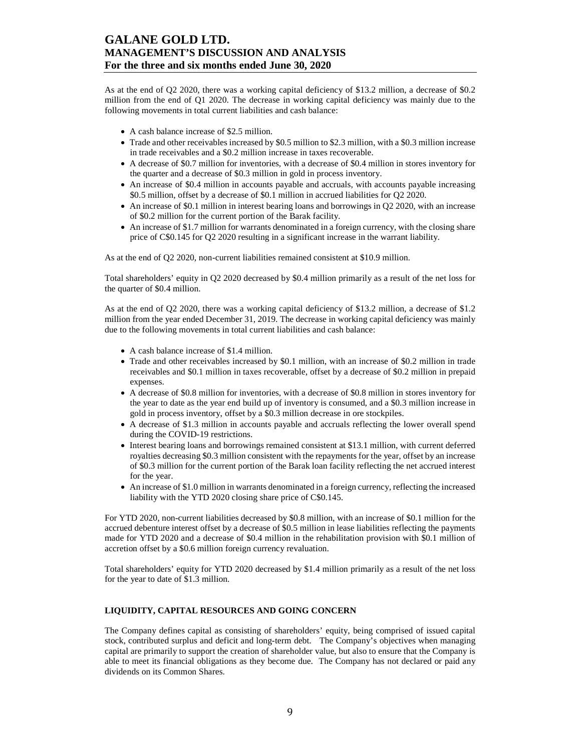As at the end of Q2 2020, there was a working capital deficiency of \$13.2 million, a decrease of \$0.2 million from the end of Q1 2020. The decrease in working capital deficiency was mainly due to the following movements in total current liabilities and cash balance:

- A cash balance increase of \$2.5 million.
- Trade and other receivables increased by \$0.5 million to \$2.3 million, with a \$0.3 million increase in trade receivables and a \$0.2 million increase in taxes recoverable.
- A decrease of \$0.7 million for inventories, with a decrease of \$0.4 million in stores inventory for the quarter and a decrease of \$0.3 million in gold in process inventory.
- An increase of \$0.4 million in accounts payable and accruals, with accounts payable increasing \$0.5 million, offset by a decrease of \$0.1 million in accrued liabilities for Q2 2020.
- An increase of \$0.1 million in interest bearing loans and borrowings in Q2 2020, with an increase of \$0.2 million for the current portion of the Barak facility.
- An increase of \$1.7 million for warrants denominated in a foreign currency, with the closing share price of C\$0.145 for Q2 2020 resulting in a significant increase in the warrant liability.

As at the end of Q2 2020, non-current liabilities remained consistent at \$10.9 million.

Total shareholders' equity in Q2 2020 decreased by \$0.4 million primarily as a result of the net loss for the quarter of \$0.4 million.

As at the end of Q2 2020, there was a working capital deficiency of \$13.2 million, a decrease of \$1.2 million from the year ended December 31, 2019. The decrease in working capital deficiency was mainly due to the following movements in total current liabilities and cash balance:

- A cash balance increase of \$1.4 million.
- Trade and other receivables increased by \$0.1 million, with an increase of \$0.2 million in trade receivables and \$0.1 million in taxes recoverable, offset by a decrease of \$0.2 million in prepaid expenses.
- A decrease of \$0.8 million for inventories, with a decrease of \$0.8 million in stores inventory for the year to date as the year end build up of inventory is consumed, and a \$0.3 million increase in gold in process inventory, offset by a \$0.3 million decrease in ore stockpiles.
- A decrease of \$1.3 million in accounts payable and accruals reflecting the lower overall spend during the COVID-19 restrictions.
- Interest bearing loans and borrowings remained consistent at \$13.1 million, with current deferred royalties decreasing \$0.3 million consistent with the repayments for the year, offset by an increase of \$0.3 million for the current portion of the Barak loan facility reflecting the net accrued interest for the year.
- An increase of \$1.0 million in warrants denominated in a foreign currency, reflecting the increased liability with the YTD 2020 closing share price of C\$0.145.

For YTD 2020, non-current liabilities decreased by \$0.8 million, with an increase of \$0.1 million for the accrued debenture interest offset by a decrease of \$0.5 million in lease liabilities reflecting the payments made for YTD 2020 and a decrease of \$0.4 million in the rehabilitation provision with \$0.1 million of accretion offset by a \$0.6 million foreign currency revaluation.

Total shareholders' equity for YTD 2020 decreased by \$1.4 million primarily as a result of the net loss for the year to date of \$1.3 million.

### **LIQUIDITY, CAPITAL RESOURCES AND GOING CONCERN**

The Company defines capital as consisting of shareholders' equity, being comprised of issued capital stock, contributed surplus and deficit and long-term debt. The Company's objectives when managing capital are primarily to support the creation of shareholder value, but also to ensure that the Company is able to meet its financial obligations as they become due. The Company has not declared or paid any dividends on its Common Shares.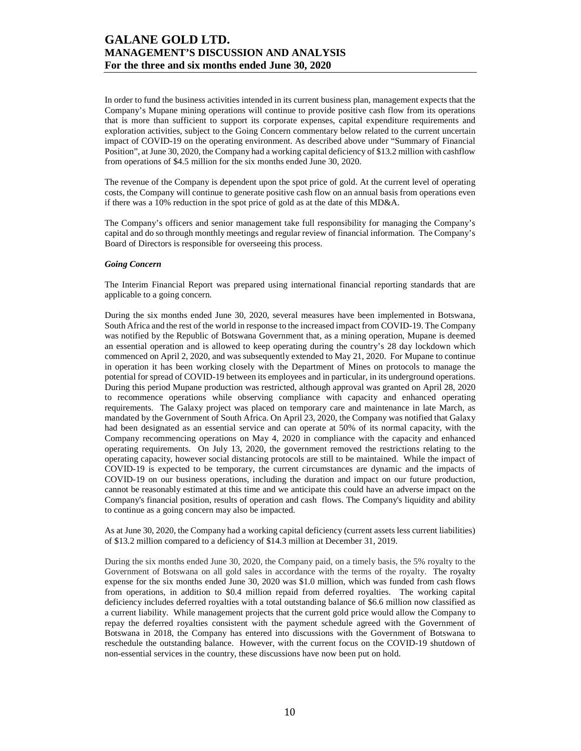In order to fund the business activities intended in its current business plan, management expects that the Company's Mupane mining operations will continue to provide positive cash flow from its operations that is more than sufficient to support its corporate expenses, capital expenditure requirements and exploration activities, subject to the Going Concern commentary below related to the current uncertain impact of COVID-19 on the operating environment. As described above under "Summary of Financial Position", at June 30, 2020, the Company had a working capital deficiency of \$13.2 million with cashflow from operations of \$4.5 million for the six months ended June 30, 2020.

The revenue of the Company is dependent upon the spot price of gold. At the current level of operating costs, the Company will continue to generate positive cash flow on an annual basis from operations even if there was a 10% reduction in the spot price of gold as at the date of this MD&A.

The Company's officers and senior management take full responsibility for managing the Company's capital and do so through monthly meetings and regular review of financial information. The Company's Board of Directors is responsible for overseeing this process.

#### *Going Concern*

The Interim Financial Report was prepared using international financial reporting standards that are applicable to a going concern.

During the six months ended June 30, 2020, several measures have been implemented in Botswana, South Africa and the rest of the world in response to the increased impact from COVID-19. The Company was notified by the Republic of Botswana Government that, as a mining operation, Mupane is deemed an essential operation and is allowed to keep operating during the country's 28 day lockdown which commenced on April 2, 2020, and was subsequently extended to May 21, 2020. For Mupane to continue in operation it has been working closely with the Department of Mines on protocols to manage the potential for spread of COVID-19 between its employees and in particular, in its underground operations. During this period Mupane production was restricted, although approval was granted on April 28, 2020 to recommence operations while observing compliance with capacity and enhanced operating requirements. The Galaxy project was placed on temporary care and maintenance in late March, as mandated by the Government of South Africa. On April 23, 2020, the Company was notified that Galaxy had been designated as an essential service and can operate at 50% of its normal capacity, with the Company recommencing operations on May 4, 2020 in compliance with the capacity and enhanced operating requirements. On July 13, 2020, the government removed the restrictions relating to the operating capacity, however social distancing protocols are still to be maintained. While the impact of COVID-19 is expected to be temporary, the current circumstances are dynamic and the impacts of COVID-19 on our business operations, including the duration and impact on our future production, cannot be reasonably estimated at this time and we anticipate this could have an adverse impact on the Company's financial position, results of operation and cash flows. The Company's liquidity and ability to continue as a going concern may also be impacted.

As at June 30, 2020, the Company had a working capital deficiency (current assets less current liabilities) of \$13.2 million compared to a deficiency of \$14.3 million at December 31, 2019.

During the six months ended June 30, 2020, the Company paid, on a timely basis, the 5% royalty to the Government of Botswana on all gold sales in accordance with the terms of the royalty. The royalty expense for the six months ended June 30, 2020 was \$1.0 million, which was funded from cash flows from operations, in addition to \$0.4 million repaid from deferred royalties. The working capital deficiency includes deferred royalties with a total outstanding balance of \$6.6 million now classified as a current liability. While management projects that the current gold price would allow the Company to repay the deferred royalties consistent with the payment schedule agreed with the Government of Botswana in 2018, the Company has entered into discussions with the Government of Botswana to reschedule the outstanding balance. However, with the current focus on the COVID-19 shutdown of non-essential services in the country, these discussions have now been put on hold.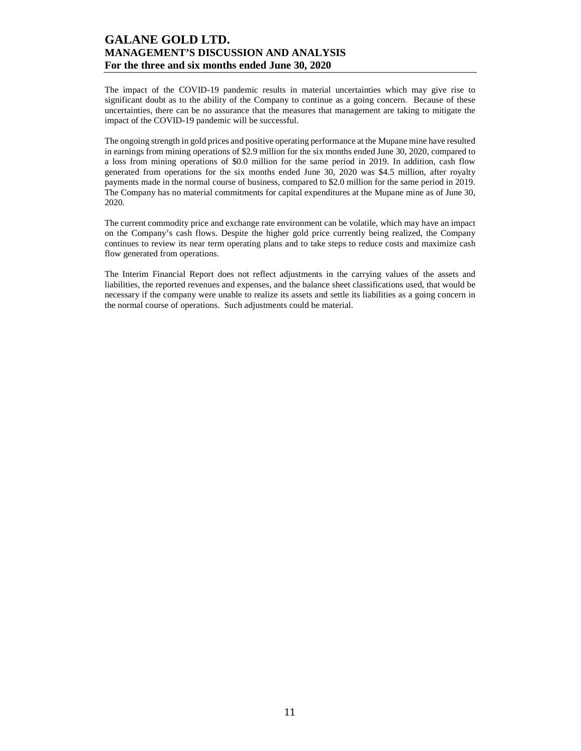The impact of the COVID-19 pandemic results in material uncertainties which may give rise to significant doubt as to the ability of the Company to continue as a going concern. Because of these uncertainties, there can be no assurance that the measures that management are taking to mitigate the impact of the COVID-19 pandemic will be successful.

The ongoing strength in gold prices and positive operating performance at the Mupane mine have resulted in earnings from mining operations of \$2.9 million for the six months ended June 30, 2020, compared to a loss from mining operations of \$0.0 million for the same period in 2019. In addition, cash flow generated from operations for the six months ended June 30, 2020 was \$4.5 million, after royalty payments made in the normal course of business, compared to \$2.0 million for the same period in 2019. The Company has no material commitments for capital expenditures at the Mupane mine as of June 30, 2020.

The current commodity price and exchange rate environment can be volatile, which may have an impact on the Company's cash flows. Despite the higher gold price currently being realized, the Company continues to review its near term operating plans and to take steps to reduce costs and maximize cash flow generated from operations.

The Interim Financial Report does not reflect adjustments in the carrying values of the assets and liabilities, the reported revenues and expenses, and the balance sheet classifications used, that would be necessary if the company were unable to realize its assets and settle its liabilities as a going concern in the normal course of operations. Such adjustments could be material.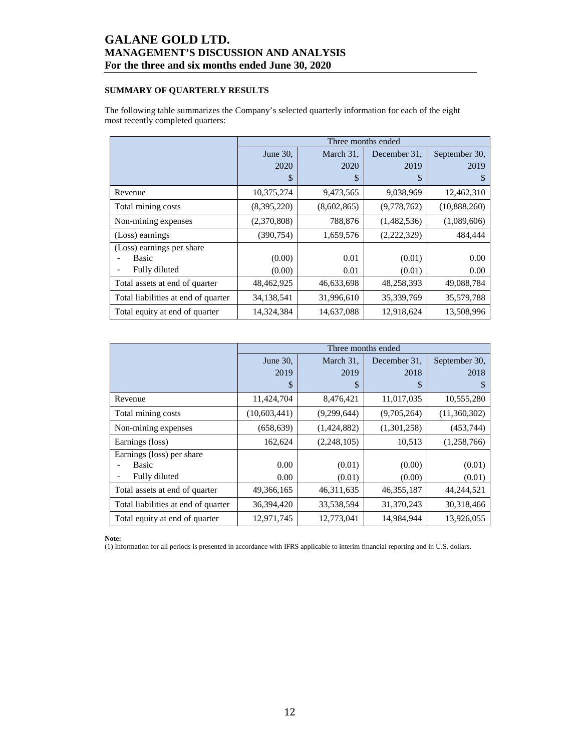### **SUMMARY OF QUARTERLY RESULTS**

The following table summarizes the Company's selected quarterly information for each of the eight most recently completed quarters:

|                                     |             |             | Three months ended |               |
|-------------------------------------|-------------|-------------|--------------------|---------------|
|                                     | June 30,    | March 31,   | December 31.       | September 30, |
|                                     | 2020        | 2020        | 2019               | 2019          |
|                                     | \$          | \$          | \$                 | S             |
| Revenue                             | 10,375,274  | 9,473,565   | 9,038,969          | 12,462,310    |
| Total mining costs                  | (8,395,220) | (8,602,865) | (9,778,762)        | (10,888,260)  |
| Non-mining expenses                 | (2,370,808) | 788,876     | (1,482,536)        | (1,089,606)   |
| (Loss) earnings                     | (390, 754)  | 1,659,576   | (2,222,329)        | 484,444       |
| (Loss) earnings per share           |             |             |                    |               |
| Basic                               | (0.00)      | 0.01        | (0.01)             | 0.00          |
| Fully diluted                       | (0.00)      | 0.01        | (0.01)             | 0.00          |
| Total assets at end of quarter      | 48,462,925  | 46,633,698  | 48,258,393         | 49,088,784    |
| Total liabilities at end of quarter | 34,138,541  | 31,996,610  | 35,339,769         | 35,579,788    |
| Total equity at end of quarter      | 14,324,384  | 14,637,088  | 12,918,624         | 13,508,996    |

|                                     |              | Three months ended |              |               |
|-------------------------------------|--------------|--------------------|--------------|---------------|
|                                     | June 30,     | March 31,          | December 31. | September 30, |
|                                     | 2019         | 2019               | 2018         | 2018          |
|                                     | \$           | \$                 | \$           | S             |
| Revenue                             | 11,424,704   | 8,476,421          | 11,017,035   | 10,555,280    |
| Total mining costs                  | (10,603,441) | (9,299,644)        | (9,705,264)  | (11,360,302)  |
| Non-mining expenses                 | (658, 639)   | (1,424,882)        | (1,301,258)  | (453,744)     |
| Earnings (loss)                     | 162,624      | (2,248,105)        | 10,513       | (1,258,766)   |
| Earnings (loss) per share           |              |                    |              |               |
| Basic                               | 0.00         | (0.01)             | (0.00)       | (0.01)        |
| Fully diluted                       | 0.00         | (0.01)             | (0.00)       | (0.01)        |
| Total assets at end of quarter      | 49,366,165   | 46, 311, 635       | 46, 355, 187 | 44,244,521    |
| Total liabilities at end of quarter | 36,394,420   | 33,538,594         | 31,370,243   | 30,318,466    |
| Total equity at end of quarter      | 12,971,745   | 12,773,041         | 14,984,944   | 13,926,055    |

**Note:** 

(1) Information for all periods is presented in accordance with IFRS applicable to interim financial reporting and in U.S. dollars.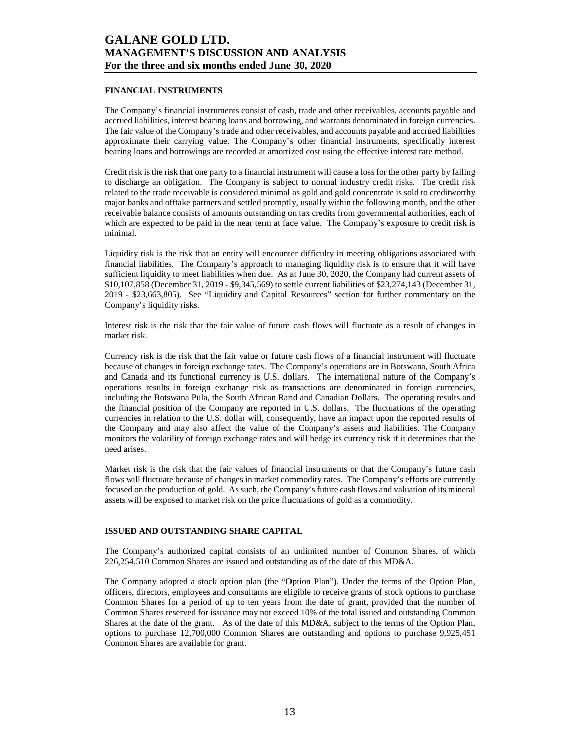#### **FINANCIAL INSTRUMENTS**

The Company's financial instruments consist of cash, trade and other receivables, accounts payable and accrued liabilities, interest bearing loans and borrowing, and warrants denominated in foreign currencies. The fair value of the Company's trade and other receivables, and accounts payable and accrued liabilities approximate their carrying value. The Company's other financial instruments, specifically interest bearing loans and borrowings are recorded at amortized cost using the effective interest rate method.

Credit risk is the risk that one party to a financial instrument will cause a loss for the other party by failing to discharge an obligation. The Company is subject to normal industry credit risks. The credit risk related to the trade receivable is considered minimal as gold and gold concentrate is sold to creditworthy major banks and offtake partners and settled promptly, usually within the following month, and the other receivable balance consists of amounts outstanding on tax credits from governmental authorities, each of which are expected to be paid in the near term at face value. The Company's exposure to credit risk is minimal.

Liquidity risk is the risk that an entity will encounter difficulty in meeting obligations associated with financial liabilities. The Company's approach to managing liquidity risk is to ensure that it will have sufficient liquidity to meet liabilities when due. As at June 30, 2020, the Company had current assets of \$10,107,858 (December 31, 2019 - \$9,345,569) to settle current liabilities of \$23,274,143 (December 31, 2019 - \$23,663,805). See "Liquidity and Capital Resources" section for further commentary on the Company's liquidity risks.

Interest risk is the risk that the fair value of future cash flows will fluctuate as a result of changes in market risk.

Currency risk is the risk that the fair value or future cash flows of a financial instrument will fluctuate because of changes in foreign exchange rates. The Company's operations are in Botswana, South Africa and Canada and its functional currency is U.S. dollars. The international nature of the Company's operations results in foreign exchange risk as transactions are denominated in foreign currencies, including the Botswana Pula, the South African Rand and Canadian Dollars. The operating results and the financial position of the Company are reported in U.S. dollars. The fluctuations of the operating currencies in relation to the U.S. dollar will, consequently, have an impact upon the reported results of the Company and may also affect the value of the Company's assets and liabilities. The Company monitors the volatility of foreign exchange rates and will hedge its currency risk if it determines that the need arises.

Market risk is the risk that the fair values of financial instruments or that the Company's future cash flows will fluctuate because of changes in market commodity rates. The Company's efforts are currently focused on the production of gold. As such, the Company's future cash flows and valuation of its mineral assets will be exposed to market risk on the price fluctuations of gold as a commodity.

### **ISSUED AND OUTSTANDING SHARE CAPITAL**

The Company's authorized capital consists of an unlimited number of Common Shares, of which 226,254,510 Common Shares are issued and outstanding as of the date of this MD&A.

The Company adopted a stock option plan (the "Option Plan"). Under the terms of the Option Plan, officers, directors, employees and consultants are eligible to receive grants of stock options to purchase Common Shares for a period of up to ten years from the date of grant, provided that the number of Common Shares reserved for issuance may not exceed 10% of the total issued and outstanding Common Shares at the date of the grant. As of the date of this MD&A, subject to the terms of the Option Plan, options to purchase 12,700,000 Common Shares are outstanding and options to purchase 9,925,451 Common Shares are available for grant.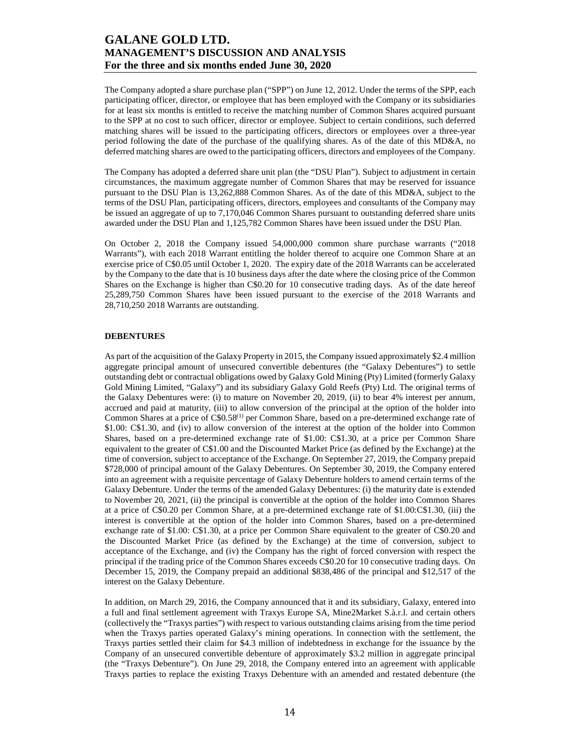The Company adopted a share purchase plan ("SPP") on June 12, 2012. Under the terms of the SPP, each participating officer, director, or employee that has been employed with the Company or its subsidiaries for at least six months is entitled to receive the matching number of Common Shares acquired pursuant to the SPP at no cost to such officer, director or employee. Subject to certain conditions, such deferred matching shares will be issued to the participating officers, directors or employees over a three-year period following the date of the purchase of the qualifying shares. As of the date of this MD&A, no deferred matching shares are owed to the participating officers, directors and employees of the Company.

The Company has adopted a deferred share unit plan (the "DSU Plan"). Subject to adjustment in certain circumstances, the maximum aggregate number of Common Shares that may be reserved for issuance pursuant to the DSU Plan is 13,262,888 Common Shares. As of the date of this MD&A, subject to the terms of the DSU Plan, participating officers, directors, employees and consultants of the Company may be issued an aggregate of up to 7,170,046 Common Shares pursuant to outstanding deferred share units awarded under the DSU Plan and 1,125,782 Common Shares have been issued under the DSU Plan.

On October 2, 2018 the Company issued 54,000,000 common share purchase warrants ("2018 Warrants"), with each 2018 Warrant entitling the holder thereof to acquire one Common Share at an exercise price of C\$0.05 until October 1, 2020. The expiry date of the 2018 Warrants can be accelerated by the Company to the date that is 10 business days after the date where the closing price of the Common Shares on the Exchange is higher than C\$0.20 for 10 consecutive trading days. As of the date hereof 25,289,750 Common Shares have been issued pursuant to the exercise of the 2018 Warrants and 28,710,250 2018 Warrants are outstanding.

### **DEBENTURES**

As part of the acquisition of the Galaxy Property in 2015, the Company issued approximately \$2.4 million aggregate principal amount of unsecured convertible debentures (the "Galaxy Debentures") to settle outstanding debt or contractual obligations owed by Galaxy Gold Mining (Pty) Limited (formerly Galaxy Gold Mining Limited, "Galaxy") and its subsidiary Galaxy Gold Reefs (Pty) Ltd. The original terms of the Galaxy Debentures were: (i) to mature on November 20, 2019, (ii) to bear 4% interest per annum, accrued and paid at maturity, (iii) to allow conversion of the principal at the option of the holder into Common Shares at a price of C\$0.58(1) per Common Share, based on a pre-determined exchange rate of \$1.00: C\$1.30, and (iv) to allow conversion of the interest at the option of the holder into Common Shares, based on a pre-determined exchange rate of \$1.00: C\$1.30, at a price per Common Share equivalent to the greater of C\$1.00 and the Discounted Market Price (as defined by the Exchange) at the time of conversion, subject to acceptance of the Exchange. On September 27, 2019, the Company prepaid \$728,000 of principal amount of the Galaxy Debentures. On September 30, 2019, the Company entered into an agreement with a requisite percentage of Galaxy Debenture holders to amend certain terms of the Galaxy Debenture. Under the terms of the amended Galaxy Debentures: (i) the maturity date is extended to November 20, 2021, (ii) the principal is convertible at the option of the holder into Common Shares at a price of C\$0.20 per Common Share, at a pre-determined exchange rate of \$1.00:C\$1.30, (iii) the interest is convertible at the option of the holder into Common Shares, based on a pre-determined exchange rate of \$1.00: C\$1.30, at a price per Common Share equivalent to the greater of C\$0.20 and the Discounted Market Price (as defined by the Exchange) at the time of conversion, subject to acceptance of the Exchange, and (iv) the Company has the right of forced conversion with respect the principal if the trading price of the Common Shares exceeds C\$0.20 for 10 consecutive trading days. On December 15, 2019, the Company prepaid an additional \$838,486 of the principal and \$12,517 of the interest on the Galaxy Debenture.

In addition, on March 29, 2016, the Company announced that it and its subsidiary, Galaxy, entered into a full and final settlement agreement with Traxys Europe SA, Mine2Market S.à.r.l. and certain others (collectively the "Traxys parties") with respect to various outstanding claims arising from the time period when the Traxys parties operated Galaxy's mining operations. In connection with the settlement, the Traxys parties settled their claim for \$4.3 million of indebtedness in exchange for the issuance by the Company of an unsecured convertible debenture of approximately \$3.2 million in aggregate principal (the "Traxys Debenture"). On June 29, 2018, the Company entered into an agreement with applicable Traxys parties to replace the existing Traxys Debenture with an amended and restated debenture (the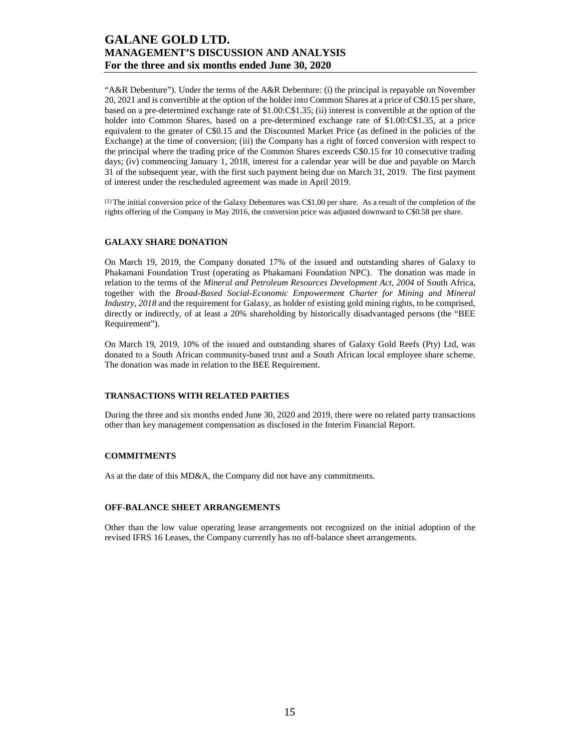"A&R Debenture"). Under the terms of the A&R Debenture: (i) the principal is repayable on November 20, 2021 and is convertible at the option of the holder into Common Shares at a price of C\$0.15 per share, based on a pre-determined exchange rate of \$1.00:C\$1.35; (ii) interest is convertible at the option of the holder into Common Shares, based on a pre-determined exchange rate of \$1.00:C\$1.35, at a price equivalent to the greater of C\$0.15 and the Discounted Market Price (as defined in the policies of the Exchange) at the time of conversion; (iii) the Company has a right of forced conversion with respect to the principal where the trading price of the Common Shares exceeds C\$0.15 for 10 consecutive trading days; (iv) commencing January 1, 2018, interest for a calendar year will be due and payable on March 31 of the subsequent year, with the first such payment being due on March 31, 2019. The first payment of interest under the rescheduled agreement was made in April 2019.

(1) The initial conversion price of the Galaxy Debentures was C\$1.00 per share. As a result of the completion of the rights offering of the Company in May 2016, the conversion price was adjusted downward to C\$0.58 per share.

#### **GALAXY SHARE DONATION**

On March 19, 2019, the Company donated 17% of the issued and outstanding shares of Galaxy to Phakamani Foundation Trust (operating as Phakamani Foundation NPC). The donation was made in relation to the terms of the *Mineral and Petroleum Resources Development Act, 2004* of South Africa, together with the *Broad-Based Social-Economic Empowerment Charter for Mining and Mineral Industry, 2018* and the requirement for Galaxy, as holder of existing gold mining rights, to be comprised, directly or indirectly, of at least a 20% shareholding by historically disadvantaged persons (the "BEE Requirement").

On March 19, 2019, 10% of the issued and outstanding shares of Galaxy Gold Reefs (Pty) Ltd, was donated to a South African community-based trust and a South African local employee share scheme. The donation was made in relation to the BEE Requirement.

#### **TRANSACTIONS WITH RELATED PARTIES**

During the three and six months ended June 30, 2020 and 2019, there were no related party transactions other than key management compensation as disclosed in the Interim Financial Report.

#### **COMMITMENTS**

As at the date of this MD&A, the Company did not have any commitments.

### **OFF-BALANCE SHEET ARRANGEMENTS**

Other than the low value operating lease arrangements not recognized on the initial adoption of the revised IFRS 16 Leases, the Company currently has no off-balance sheet arrangements.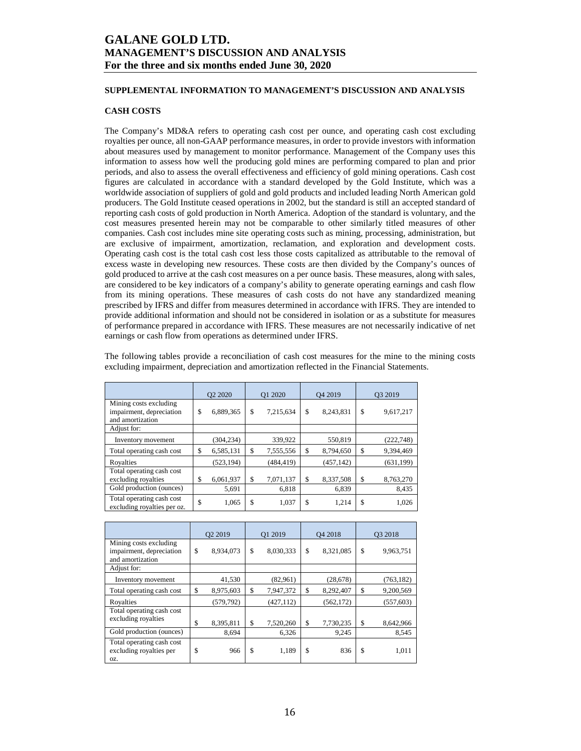### **SUPPLEMENTAL INFORMATION TO MANAGEMENT'S DISCUSSION AND ANALYSIS**

### **CASH COSTS**

The Company's MD&A refers to operating cash cost per ounce, and operating cash cost excluding royalties per ounce, all non-GAAP performance measures, in order to provide investors with information about measures used by management to monitor performance. Management of the Company uses this information to assess how well the producing gold mines are performing compared to plan and prior periods, and also to assess the overall effectiveness and efficiency of gold mining operations. Cash cost figures are calculated in accordance with a standard developed by the Gold Institute, which was a worldwide association of suppliers of gold and gold products and included leading North American gold producers. The Gold Institute ceased operations in 2002, but the standard is still an accepted standard of reporting cash costs of gold production in North America. Adoption of the standard is voluntary, and the cost measures presented herein may not be comparable to other similarly titled measures of other companies. Cash cost includes mine site operating costs such as mining, processing, administration, but are exclusive of impairment, amortization, reclamation, and exploration and development costs. Operating cash cost is the total cash cost less those costs capitalized as attributable to the removal of excess waste in developing new resources. These costs are then divided by the Company's ounces of gold produced to arrive at the cash cost measures on a per ounce basis. These measures, along with sales, are considered to be key indicators of a company's ability to generate operating earnings and cash flow from its mining operations. These measures of cash costs do not have any standardized meaning prescribed by IFRS and differ from measures determined in accordance with IFRS. They are intended to provide additional information and should not be considered in isolation or as a substitute for measures of performance prepared in accordance with IFRS. These measures are not necessarily indicative of net earnings or cash flow from operations as determined under IFRS.

The following tables provide a reconciliation of cash cost measures for the mine to the mining costs excluding impairment, depreciation and amortization reflected in the Financial Statements.

|                                                                        | Q <sub>2</sub> 20 <sub>20</sub> |            | Q1 2020 |            | O <sub>4</sub> 2019 |            | O <sub>3</sub> 2019 |            |
|------------------------------------------------------------------------|---------------------------------|------------|---------|------------|---------------------|------------|---------------------|------------|
| Mining costs excluding<br>impairment, depreciation<br>and amortization | \$                              | 6,889,365  | \$      | 7,215,634  | \$                  | 8,243,831  | \$                  | 9,617,217  |
| Adjust for:                                                            |                                 |            |         |            |                     |            |                     |            |
| Inventory movement                                                     |                                 | (304, 234) |         | 339,922    |                     | 550,819    |                     | (222,748)  |
| Total operating cash cost                                              | \$                              | 6,585,131  | \$      | 7,555,556  | \$                  | 8,794,650  | \$                  | 9,394,469  |
| Royalties                                                              |                                 | (523, 194) |         | (484, 419) |                     | (457, 142) |                     | (631, 199) |
| Total operating cash cost<br>excluding royalties                       | \$                              | 6,061,937  | \$      | 7,071,137  | \$                  | 8,337,508  | \$                  | 8,763,270  |
| Gold production (ounces)                                               |                                 | 5,691      |         | 6,818      |                     | 6,839      |                     | 8,435      |
| Total operating cash cost<br>excluding royalties per oz.               | \$                              | 1,065      | \$      | 1,037      | \$                  | 1,214      | \$                  | 1,026      |

|                                                                        | O <sub>2</sub> 2019 |            |    | O1 2019    |    | O <sub>4</sub> 2018 |     | O3 2018    |  |
|------------------------------------------------------------------------|---------------------|------------|----|------------|----|---------------------|-----|------------|--|
| Mining costs excluding<br>impairment, depreciation<br>and amortization | \$                  | 8,934,073  | \$ | 8,030,333  | \$ | 8,321,085           | \$  | 9,963,751  |  |
| Adjust for:                                                            |                     |            |    |            |    |                     |     |            |  |
| Inventory movement                                                     |                     | 41,530     |    | (82,961)   |    | (28, 678)           |     | (763, 182) |  |
| Total operating cash cost                                              | \$                  | 8,975,603  | S  | 7,947,372  | \$ | 8,292,407           | \$  | 9,200,569  |  |
| Rovalties                                                              |                     | (579, 792) |    | (427, 112) |    | (562, 172)          |     | (557, 603) |  |
| Total operating cash cost<br>excluding royalties                       | \$                  | 8,395,811  | \$ | 7,520,260  | \$ | 7,730,235           | \$  | 8,642,966  |  |
| Gold production (ounces)                                               |                     | 8,694      |    | 6,326      |    | 9,245               |     | 8,545      |  |
| Total operating cash cost<br>excluding royalties per<br>OZ.            | \$                  | 966        | \$ | 1,189      | \$ | 836                 | \$. | 1,011      |  |